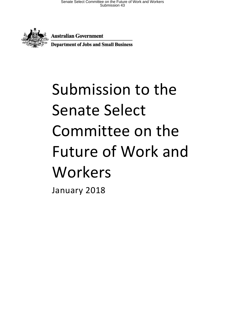

**Australian Government** 

**Department of Jobs and Small Business** 

# Submission to the Senate Select Committee on the Future of Work and Workers

January 2018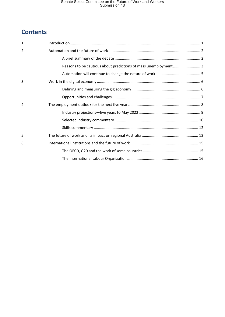# **Contents**

| 1. |                                                                 |
|----|-----------------------------------------------------------------|
| 2. |                                                                 |
|    |                                                                 |
|    | Reasons to be cautious about predictions of mass unemployment 3 |
|    |                                                                 |
| 3. |                                                                 |
|    |                                                                 |
|    |                                                                 |
| 4. |                                                                 |
|    |                                                                 |
|    |                                                                 |
|    |                                                                 |
| 5. |                                                                 |
| 6. |                                                                 |
|    |                                                                 |
|    |                                                                 |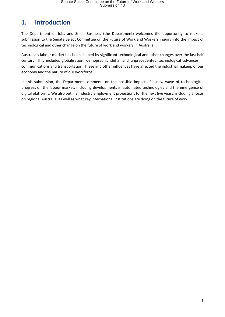## <span id="page-2-0"></span>**1. Introduction**

The Department of Jobs and Small Business (the Department) welcomes the opportunity to make a submission to the Senate Select Committee on the Future of Work and Workers inquiry into the impact of technological and other change on the future of work and workers in Australia.

Australia's labour market has been shaped by significant technological and other changes over the last half century. This includes globalisation, demographic shifts, and unprecedented technological advances in communications and transportation. These and other influences have affected the industrial makeup of our economy and the nature of our workforce.

In this submission, the Department comments on the possible impact of a new wave of technological progress on the labour market, including developments in automated technologies and the emergence of digital platforms. We also outline industry employment projections for the next five years, including a focus on regional Australia, as well as what key international institutions are doing on the future of work.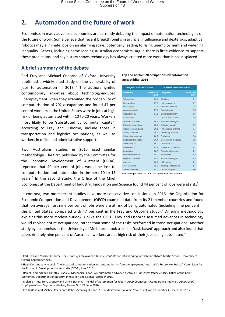## <span id="page-3-0"></span>**2. Automation and the future of work**

Economists in many advanced economies are currently debating the impact of automation technologies on the future of work. Some believe that recent breakthroughs in artificial intelligence and dexterous, adaptive, robotics may eliminate jobs on an alarming scale, potentially leading to rising unemployment and widening inequality. Others, including some leading Australian economists, argue there is little evidence to support these predictions, and say history shows technology has always created more work than it has displaced.

#### <span id="page-3-1"></span>**A brief summary of the debate**

Carl Frey and Michael Osborne of Oxford University published a widely cited study on the vulnerability of jobs to automation in 2013. <sup>1</sup> The authors ignited contemporary anxieties about technology-induced unemployment when they examined the probability of computerisation of 702 occupations and found 47 per cent of workers in the United States were in jobs at high risk of being automated within 10 to 20 years. Workers most likely to be 'substituted by computer capital', according to Frey and Osborne, include those in transportation and logistics occupations, as well as workers in office and administrative support.

Two Australians studies in 2015 used similar methodology. The first, published by the Committee for the Economic Development of Australia (CEDA), reported that 40 per cent of jobs would be lost to computerisation and automation in the next 10 to 15 years.<sup>2</sup> In the second study, the Office of the Chief

1

| 20 highest automation scores |                     | <b>20 lowest automation scores</b> |                            |  |
|------------------------------|---------------------|------------------------------------|----------------------------|--|
| Occupation                   | Automation<br>score | Occupation                         | <b>Automation</b><br>score |  |
| Telemarketers                | 99.0                | <b>Dietitians</b>                  | 0.4                        |  |
| <b>Bank workers</b>          | 97.8                | Hotel managers                     | 0.4                        |  |
| <b>Bookkeepers</b>           | 97.7                | <b>Education advisers</b>          | 0.4                        |  |
| Accounting clerks            | 97.2                | <b>Psychologists</b>               | 0.5                        |  |
| Product quality              | 97.0                | <b>Dental practitioners</b>        | 0.5                        |  |
| Payroll clerks               | 97.0                | Speech professionals               | 0.6                        |  |
| Checkout operators           | 96.9                | <b>Education managers</b>          | 0.7                        |  |
| Other clerical workers       | 96.7                | School principals                  | 0.7                        |  |
| Insurance investigators      | 96.6                | <b>ICT</b> business analysts       | 0.7                        |  |
| Library assistants           | 96.3                | Secondary teachers                 | 0.8                        |  |
| Other sales assistants       | 96.2                | Podiatrists                        | 0.8                        |  |
| Switchboard operators        | 96.1                | Occupational therapists            | 0.8                        |  |
| General clerks               | 96.0                | Chiropractors                      | 0.8                        |  |
| Inquiry clerks               | 95.9                | Special educ, teachers             | 1.1                        |  |
| <b>Secretaries</b>           | 95.4                | Agricultural scientists            | 1.1                        |  |
| Product assemblers           | 95.2                | Pharmacists                        | 1.2                        |  |
| Keyboard operators           | 95.1                | Ministers of religion              | 1.3                        |  |
| <b>Jewellers</b>             | 95.0                | <b>ICT</b> trainers                | 1.4                        |  |
| Debt collectors              | 95.0                | <b>Training professionals</b>      | 1.4                        |  |
| Garden labourers             | 95.0                | Office managers                    | 1.4                        |  |

**Top and bottom 20 occupations by automation susceptiblity, 2014** 

*Source:* Department of Industry, Innovation and Science

Economist at the Department of Industry, Innovation and Science found 44 per cent of jobs were at risk.<sup>3</sup>

In contrast, two more recent studies have more conservative conclusions. In 2016, the Organisation for Economic Co-operation and Development (OECD) examined data from its 21 member countries and found that, on average, just nine per cent of jobs were are at risk of being automated (including nine per cent in the United States, compared with 47 per cent in the Frey and Osborne study).<sup>4</sup> Differing methodology explains this more modest outlook. Unlike the OECD, Frey and Osborne assumed advances in technology would replace entire occupations, rather than some of the tasks performed in those occupations. Another study by economists at the University of Melbourne took a similar 'task-based' approach and also found that approximately nine per cent of Australian workers are at high risk of their jobs being automated.<sup>5</sup>

<sup>1</sup> Carl Frey and Michael Osborne, *The Future of Employment: How Susceptible are Jobs to Computerisation?*, Oxford Martin School, University of Oxford, September 2013.

<sup>2</sup> Hugh Durrant-Whyte et al, 'The impact of computerisation and automation on future employment', *Australia's Future Workforce?*, Committee for the Economic Development of Australia (CEDA), June 2015.

<sup>&</sup>lt;sup>3</sup> Daniel Edmonds and Timothy Bradley, 'Mechanical boon: will automation advance Australia?', *Research Paper 7/2015*, Office of the Chief Economist, Department of Industry, Innovation and Science, October 2015.

<sup>4</sup> Melanie Arntz, Terry Gregory and Ulrich Zierahn, 'The Risk of Automation for Jobs in OECD Countries: A Comparative Analysis', *OECD Social, Employment and Migration Working Papers No 189*, June 2016.

<sup>5</sup> Jeff Borland and Michael Coelli, 'Are Robots Stealing Our Jobs?', *The Australian Economic Review*, volume 50, number 4, December 2017.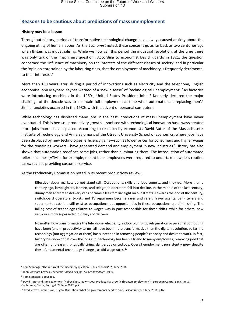#### <span id="page-4-0"></span>**Reasons to be cautious about predictions of mass unemployment**

#### **History may be a lesson**

Throughout history, periods of transformative technological change have always caused anxiety about the ongoing utility of human labour. As *The Economist* noted, these concerns go as far back as two centuries ago when Britain was industrialising. While we now call this period the industrial revolution, at the time there was only talk of the 'machinery question'. According to economist David Ricardo in 1821, the question concerned the 'influence of machinery on the interests of the different classes of society' and in particular the 'opinion entertained by the labouring class, that the employment of machinery is frequently detrimental to their interests'.<sup>6</sup>

More than 100 years later, during a period of innovations such as electricity and the telephone, English economist John Maynard Keynes warned of a 'new disease' of 'technological unemployment'.<sup>7</sup> As factories were introducing machines in the 1960s, United States President John F Kennedy declared the major challenge of the decade was to 'maintain full employment at time when automation...is replacing men'.<sup>8</sup> Similar anxieties occurred in the 1980s with the advent of personal computers.

While technology has displaced many jobs in the past, predictions of mass unemployment have never eventuated. This is because productivity growth associated with technological innovation has always created more jobs than it has displaced. According to research by economists David Autor of the Massachusetts Institute of Technology and Anna Salomons of the Utrecht University School of Economics, where jobs have been displaced by new technologies, efficiency gains—such as lower prices for consumers and higher wages for the remaining workers—have generated demand and employment in new industries.<sup>9</sup> History has also shown that automation redefines some jobs, rather than eliminating them. The introduction of automated teller machines (ATMs), for example, meant bank employees were required to undertake new, less routine tasks, such as providing customer service.

As the Productivity Commission noted in its recent productivity review:

Effective labour markets do not stand still. Occupations, skills and jobs come … and they go. More than a century ago, lamplighters, icemen, and telegraph operators fell into decline. In the middle of the last century, dunny men and bread delivery vans became a less familiar sight on our streets. Towards the end of the century, switchboard operators, typists and TV repairmen became rarer and rarer. Travel agents, bank tellers and supermarket cashiers still exist as occupations, but opportunities in these occupations are diminishing. The falling cost of technology relative to wages was in part responsible for these shifts, while for others, new services simply superseded old ways of delivery.

No matter how transformative the telephone, electricity, indoor plumbing, refrigeration or personal computing have been (and in productivity terms, all have been more transformative than the digital revolution, so far) no technology (nor aggregation of them) has succeeded in removing people's capacity and desire to work. In fact, history has shown that over the long run, technology has been a friend to many employees, removing jobs that are often unpleasant, physically tiring, dangerous or tedious. Overall employment persistently grew despite these fundamental technology changes, as did wage rates. $10$ 

<sup>1</sup> <sup>6</sup> Tom Standage, 'The return of the machinery question', *The Economist*, 25 June 2016.

<sup>7</sup> John Maynard Keynes, *Economic Possibilities for Our Grandchildren*, 1930.

<sup>8</sup> Tom Standage, above n 6.

<sup>9</sup> David Autor and Anna Salomons, 'Robocalypse Now—Does Productivity Growth Threaten Employment?', European Central Bank Annual Conference, Sintra, Portugal, 27 June 2017, p 5.

<sup>10</sup> Productivity Commission, 'Digital Disruption: What do governments need to do?', *Research Paper*, June 2016, p 87.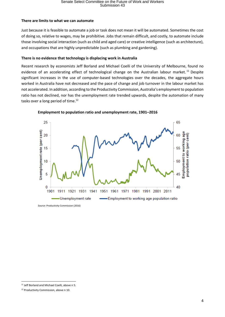## Senate Select Committee on the Future of Work and Workers<br>Submission 43

#### **There are limits to what we can automate**

Just because it is feasible to automate a job or task does not mean it will be automated. Sometimes the cost of doing so, relative to wages, may be prohibitive. Jobs that remain difficult, and costly, to automate include those involving social interaction (such as child and aged care) or creative intelligence (such as architecture), and occupations that are highly unpredictable (such as plumbing and gardening).

#### **There is no evidence that technology is displacing work in Australia**

Recent research by economists Jeff Borland and Michael Coelli of the University of Melbourne, found no evidence of an accelerating effect of technological change on the Australian labour market.<sup>11</sup> Despite significant increases in the use of computer-based technologies over the decades, the aggregate hours worked in Australia have not decreased and the pace of change and job turnover in the labour market has not accelerated. In addition, according to the Productivity Commission, Australia's employment to population ratio has not declined, nor has the unemployment rate trended upwards, despite the automation of many tasks over a long period of time.<sup>12</sup>



**Employment to population ratio and unemployment rate, 1901–2016**

*Source*: Productivity Commission (2016)

<sup>1</sup> <sup>11</sup> Jeff Borland and Michael Coelli, above n 5.

<sup>&</sup>lt;sup>12</sup> Productivity Commission, above n 10.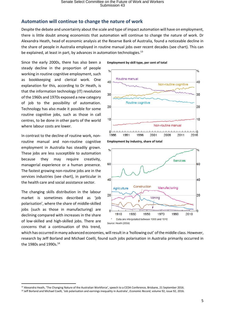## <span id="page-6-0"></span>**Automation will continue to change the nature of work**

Despite the debate and uncertainty about the scale and type of impact automation will have on employment, there is little doubt among economists that automation will continue to change the nature of work. Dr Alexandra Heath, head of economic analysis at the Reserve Bank of Australia, found a noticeable decline in the share of people in Australia employed in routine manual jobs over recent decades (see chart). This can be explained, at least in part, by advances in automation technologies.<sup>13</sup>

Since the early 2000s, there has also been a steady decline in the proportion of people working in routine cognitive employment, such as bookkeeping and clerical work. One explanation for this, according to Dr Heath, is that the information technology (IT) revolution of the 1960s and 1970s exposed a new category of job to the possibility of automation. Technology has also made it possible for some routine cognitive jobs, such as those in call centres, to be done in other parts of the world where labour costs are lower.

In contrast to the decline of routine work, nonroutine manual and non-routine cognitive employment in Australia has steadily grown. These jobs are less susceptible to automation because they may require creativity, managerial experience or a human presence. The fastest growing non-routine jobs are in the services industries (see chart), in particular in the health care and social assistance sector.

The changing skills distribution in the labour market is sometimes described as 'job polarisation', where the share of middle-skilled jobs (such as those in manufacturing) are declining compared with increases in the share of low-skilled and high-skilled jobs. There are concerns that a continuation of this trend,

1

**Employment by skill type, per cent of total**





which has occurred in many advanced economies, will result in a 'hollowing out' of the middle class. However, research by Jeff Borland and Michael Coelli, found such jobs polarisation in Australia primarily occurred in the 1980s and 1990s.<sup>14</sup>

<sup>&</sup>lt;sup>13</sup> Alexandra Heath, 'The Changing Nature of the Australian Workforce', speech to a CEDA Conference, Brisbane, 21 September 2016.

<sup>&</sup>lt;sup>14</sup> Jeff Borland and Michael Coelli, 'Job polarisation and earnings inequality in Australia', *Economic Record*, volume 92, issue 92, 2016.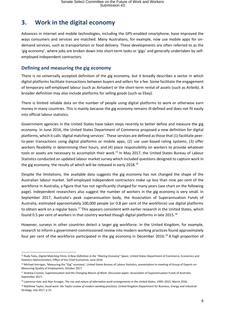## <span id="page-7-0"></span>**3. Work in the digital economy**

Advances in internet and mobile technologies, including the GPS-enabled smartphone, have improved the ways consumers and services are matched. Many Australians, for example, now use mobile apps for ondemand services, such as transportation or food delivery. These developments are often referred to as the 'gig economy', where jobs are broken down into short-term tasks or 'gigs' and generally undertaken by selfemployed independent contractors.

## <span id="page-7-1"></span>**Defining and measuring the gig economy**

There is no universally accepted definition of the gig economy, but it broadly describes a sector in which digital platforms facilitate transactions between buyers and sellers for a fee. Some facilitate the engagement of temporary self-employed labour (such as Airtasker) or the short-term rental of assets (such as Airbnb). A broader definition may also include platforms for selling goods (such as Ebay).

There is limited reliable data on the number of people using digital platforms to work or otherwise earn money in many countries. This is mainly because the gig economy remains ill-defined and does not fit easily into official labour statistics.

Government agencies in the United States have taken steps recently to better define and measure the gig economy. In June 2016, the United States Department of Commerce proposed a new definition for digital platforms, which it calls 'digital matching services'. These services are defined as those that (1) facilitate peerto-peer transactions using digital platforms or mobile apps, (2) use user-based rating systems, (3) offer workers flexibility in determining their hours, and (4) place responsibility on workers to provide whatever tools or assets are necessary to accomplish their work.<sup>15</sup> In May 2017, the United States Bureau of Labour Statistics conducted an updated labour market survey which included questions designed to capture work in the gig economy, the results of which will be released in early 2018.<sup>16</sup>

Despite the limitations, the available data suggests the gig economy has not changed the shape of the Australian labour market. Self-employed independent contractors make up less than nine per cent of the workforce in Australia, a figure that has not significantly changed for many years (see chart on the following page). Independent researchers also suggest the number of workers in the gig economy is very small. In September 2017, Australia's peak superannuation body, the Association of Superannuation Funds of Australia, estimated approximately 100,000 people (or 0.8 per cent of the workforce) use digital platforms to obtain work on a regular basis.<sup>17</sup> This appears consistent with earlier research in the United States, which found 0.5 per cent of workers in that country worked though digital platforms in late 2015.<sup>18</sup>

However, surveys in other countries detect a larger gig workforce. In the United Kingdom, for example, research to inform a government-commissioned review into modern working practices found approximately four per cent of the workforce participated in the gig economy in December 2016.<sup>19</sup> A high proportion of

<sup>1</sup> <sup>15</sup> Rudy Teles, *Digital Matching Firms: A New Definition in the "Sharing Economy" Space*, United States Department of Commerce, Economics and Statistics Administration, Office of the Chief Economist, June 2016.

<sup>&</sup>lt;sup>16</sup> Michael Horrigan, 'Measuring the "Gig" economy', United States Bureau of Labour Statistics, presentation to meeting of Group of Experts on Measuring Quality of Employment, October 2017.

<sup>17</sup> Andrew Craston, *Superannuation and the Changing Nature of Work: Discussion paper*, Association of Superannuation Funds of Australia, September 2017.

<sup>18</sup> Lawrence Katz and Alan Krueger, *The rise and nature of alternative work arrangements in the United States, 1995–2015*, March 2016.

<sup>19</sup> Matthew Taylor, *Good work: the Taylor review of modern working practices*, United Kingdom Department for Business, Energy and Industrial Strategy, July 2017, p 25.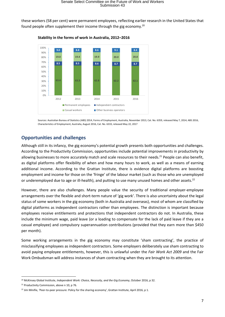these workers (58 per cent) were permanent employees, reflecting earlier research in the United States that found people often supplement their income through the gig economy.<sup>20</sup>



**Stability in the forms of work in Australia, 2012–2016** 

Sources: Australian Bureau of Statistics (ABS) 2014, Forms of Employment, Australia, November 2013, Cat. No. 6359, released May 7, 2014; ABS 2016, Characteristics of Employment, Australia, August 2016, Cat. No. 6333, released May 22, 2017

#### <span id="page-8-0"></span>**Opportunities and challenges**

Although still in its infancy, the gig economy's potential growth presents both opportunities and challenges. According to the Productivity Commission, opportunities include potential improvements in productivity by allowing businesses to more accurately match and scale resources to their needs.<sup>21</sup> People can also benefit, as digital platforms offer flexibility of when and how many hours to work, as well as a means of earning additional income. According to the Grattan Institute, there is evidence digital platforms are boosting employment and income for those on the 'fringe' of the labour market (such as those who are unemployed or underemployed due to age or ill-health), and putting to use many unused homes and other assets.<sup>22</sup>

However, there are also challenges. Many people value the security of traditional employer-employee arrangements over the flexible and short-term nature of 'gig work'. There is also uncertainty about the legal status of some workers in the gig economy (both in Australia and overseas), most of whom are classified by digital platforms as independent contractors rather than employees. The distinction is important because employees receive entitlements and protections that independent contractors do not. In Australia, these include the minimum wage, paid leave (or a loading to compensate for the lack of paid leave if they are a casual employee) and compulsory superannuation contributions (provided that they earn more than \$450 per month).

Some working arrangements in the gig economy may constitute 'sham contracting', the practice of misclassifying employees as independent contractors. Some employers deliberately use sham contracting to avoid paying employee entitlements, however, this is unlawful under the *Fair Work Act 2009* and the Fair Work Ombudsman will address instances of sham contracting when they are brought to its attention.

<sup>1</sup> <sup>20</sup> McKinsey Global Institute, *Independent Work: Choice, Necessity, and the Gig Economy*, October 2016, p 32.

<sup>&</sup>lt;sup>21</sup> Productivity Commission, above n 10, p 76.

<sup>&</sup>lt;sup>22</sup> Jim Minifie, 'Peer-to-peer pressure: Policy for the sharing economy', Grattan Institute, April 2016, p 1.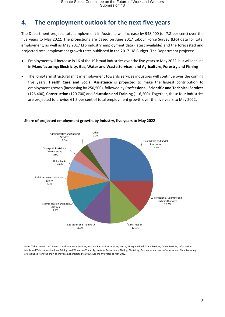# <span id="page-9-0"></span>**4. The employment outlook for the next five years**

The Department projects total employment in Australia will increase by 948,400 (or 7.8 per cent) over the five years to May 2022. The projections are based on June 2017 Labour Force Survey (LFS) data for total employment, as well as May 2017 LFS industry employment data (latest available) and the forecasted and projected total employment growth rates published in the 2017–18 Budget. The Department projects:

- Employment will increase in 16 of the 19 broad industries over the five years to May 2022, but will decline in **Manufacturing; Electricity, Gas, Water and Waste Services; and Agriculture, Forestry and Fishing**
- The long-term structural shift in employment towards services industries will continue over the coming five years. **Health Care and Social Assistance** is projected to make the largest contribution to employment growth (increasing by 250,500), followed by **Professional, Scientific and Technical Services**  (126,400), **Construction** (120,700) and **Education and Training** (116,200). Together, these four industries are projected to provide 61.5 per cent of total employment growth over the five years to May 2022.



#### **Share of projected employment growth, by industry, five years to May 2022**

Note: 'Other' consists of: Financial and Insurance Services; Arts and Recreation Services; Rental, Hiring and Real Estate Services; Other Services; Information Media and Telecommunications; Mining; and Wholesale Trade. Agriculture, Forestry and Fishing; Electricity, Gas, Water and Waste Services; and Manufacturing are excluded from the chart as they are not projected to grow over the five years to May 2022.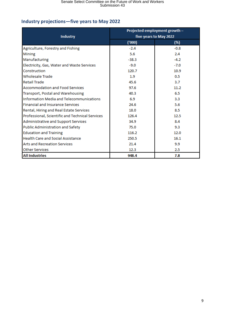## <span id="page-10-0"></span>**Industry projections—five years to May 2022**

|                                                 | Projected employment growth - |        |  |
|-------------------------------------------------|-------------------------------|--------|--|
| <b>Industry</b>                                 | five years to May 2022        |        |  |
|                                                 | (1000)                        | (%)    |  |
| Agriculture, Forestry and Fishing               | $-2.4$                        | $-0.8$ |  |
| <b>Mining</b>                                   | 5.6                           | 2.4    |  |
| Manufacturing                                   | $-38.3$                       | $-4.2$ |  |
| Electricity, Gas, Water and Waste Services      | $-9.0$                        | $-7.0$ |  |
| Construction                                    | 120.7                         | 10.9   |  |
| <b>Wholesale Trade</b>                          | 1.9                           | 0.5    |  |
| <b>Retail Trade</b>                             | 45.6                          | 3.7    |  |
| <b>Accommodation and Food Services</b>          | 97.6                          | 11.2   |  |
| Transport, Postal and Warehousing               | 40.3                          | 6.5    |  |
| Information Media and Telecommunications        | 6.9                           | 3.3    |  |
| <b>Financial and Insurance Services</b>         | 24.6                          | 5.6    |  |
| Rental, Hiring and Real Estate Services         | 18.0                          | 8.5    |  |
| Professional, Scientific and Technical Services | 126.4                         | 12.5   |  |
| Administrative and Support Services             | 34.9                          | 8.4    |  |
| Public Administration and Safety                | 75.0                          | 9.3    |  |
| <b>Education and Training</b>                   | 116.2                         | 12.0   |  |
| <b>Health Care and Social Assistance</b>        | 250.5                         | 16.1   |  |
| <b>Arts and Recreation Services</b>             | 21.4                          | 9.9    |  |
| <b>Other Services</b>                           | 12.3                          | 2.5    |  |
| <b>All Industries</b>                           | 948.4                         | 7.8    |  |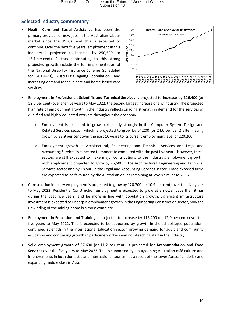## <span id="page-11-0"></span>**Selected industry commentary**

 **Health Care and Social Assistance** has been the primary provider of new jobs in the Australian labour market since the 1990s, and this is expected to continue. Over the next five years, employment in this industry is projected to increase by 250,500 (or 16.1 per cent). Factors contributing to this strong projected growth include the full implementation of the National Disability Insurance Scheme (scheduled for 2019–20), Australia's ageing population, and increasing demand for child care and home-based care services.



- Employment in **Professional, Scientific and Technical Services** is projected to increase by 126,400 (or 12.5 per cent) over the five years to May 2022, the second largest increase of any industry. The projected high rate of employment growth in the industry reflects ongoing strength in demand for the services of qualified and highly educated workers throughout the economy.
	- $\circ$  Employment is expected to grow particularly strongly in the Computer System Design and Related Services sector, which is projected to grow by 54,200 (or 24.6 per cent) after having grown by 83.9 per cent over the past 10 years to its current employment level of 220,200.
	- o Employment growth in Architectural, Engineering and Technical Services and Legal and Accounting Services is expected to moderate compared with the past five years. However, these sectors are still expected to make major contributions to the industry's employment growth, with employment projected to grow by 26,600 in the Architectural, Engineering and Technical Services sector and by 18,500 in the Legal and Accounting Services sector. Trade-exposed firms are expected to be favoured by the Australian dollar remaining at levels similar to 2016.
- **Construction** industry employment is projected to grow by 120,700 (or 10.9 per cent) over the five years to May 2022. Residential Construction employment is expected to grow at a slower pace than it has during the past five years, and be more in line with population growth. Significant infrastructure investment is expected to underpin employment growth in the Engineering Construction sector, now the unwinding of the mining boom is almost complete.
- Employment in **Education and Training** is projected to increase by 116,200 (or 12.0 per cent) over the five years to May 2022. This is expected to be supported by growth in the school aged population, continued strength in the International Education sector, growing demand for adult and community education and continuing growth in part-time workers and non-teaching staff in the industry.
- Solid employment growth of 97,600 (or 11.2 per cent) is projected for **Accommodation and Food Services** over the five years to May 2022. This is supported by a burgeoning Australian café culture and improvements in both domestic and international tourism, as a result of the lower Australian dollar and expanding middle class in Asia.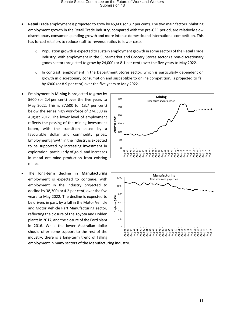- **Retail Trade** employment is projected to grow by 45,600 (or 3.7 per cent). The two main factors inhibiting employment growth in the Retail Trade industry, compared with the pre-GFC period, are relatively slow discretionary consumer spending growth and more intense domestic and international competition. This has forced retailers to reduce staff-to-revenue ratios to lower costs.
	- $\circ$  Population growth is expected to sustain employment growth in some sectors of the Retail Trade industry, with employment in the Supermarket and Grocery Stores sector (a non-discretionary goods sector) projected to grow by 24,000 (or 8.1 per cent) over the five years to May 2022.
	- o In contrast, employment in the Department Stores sector, which is particularly dependent on growth in discretionary consumption and susceptible to online competition, is projected to fall by 6900 (or 8.9 per cent) over the five years to May 2022.
- Employment in **Mining** is projected to grow by 5600 (or 2.4 per cent) over the five years to May 2022. This is 37,500 (or 13.7 per cent) below the series high workforce of 274,300 in August 2012. The lower level of employment reflects the passing of the mining investment boom, with the transition eased by a favourable dollar and commodity prices. Employment growth in the industry is expected to be supported by increasing investment in exploration, particularly of gold, and increases in metal ore mine production from existing mines.
- The long-term decline in **Manufacturing**  employment is expected to continue, with employment in the industry projected to decline by 38,300 (or 4.2 per cent) over the five years to May 2022. The decline is expected to be driven, in part, by a fall in the Motor Vehicle and Motor Vehicle Part Manufacturing sector, reflecting the closure of the Toyota and Holden plants in 2017, and the closure of the Ford plant in 2016. While the lower Australian dollar should offer some support to the rest of the industry, there is a long-term trend of falling

Mining  $300$ Time series and projection  $250$ 200 Employed ('000) 150  $100$ 50  $\Omega$ ้ 00-<sup>ลู</sup>มห - 66-<sup>9</sup>m - 85 mm  $\mu_{g-02}$ **Aug-06** TD-ant 80-9m eo-<sup>gn</sup>k **Nug-10** Aug-01  $48 - 03$ ug-94 ug-05  $118 - 94$ 



employment in many sectors of the Manufacturing industry.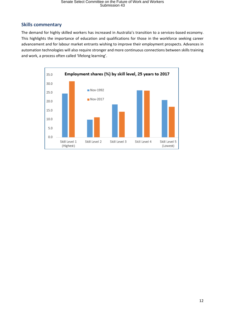### <span id="page-13-0"></span>**Skills commentary**

The demand for highly skilled workers has increased in Australia's transition to a services-based economy. This highlights the importance of education and qualifications for those in the workforce seeking career advancement and for labour market entrants wishing to improve their employment prospects. Advances in automation technologies will also require stronger and more continuous connections between skills training and work, a process often called 'lifelong learning'.

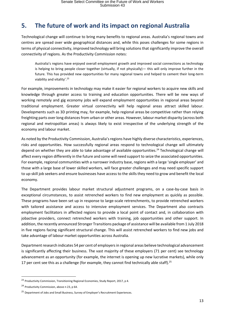# <span id="page-14-0"></span>**5. The future of work and its impact on regional Australia**

Technological change will continue to bring many benefits to regional areas. Australia's regional towns and centres are spread over wide geographical distances and, while this poses challenges for some regions in terms of physical connectivity, improved technology will bring solutions that significantly improve the overall connectivity of regions. As the Productivity Commission notes:

Australia's regions have enjoyed overall employment growth and improved social connections as technology is helping to bring people closer together (virtually, if not physically)— this will only improve further in the future. This has provided new opportunities for many regional towns and helped to cement their long-term viability and vitality'. 23

For example, improvements in technology may make it easier for regional workers to acquire new skills and knowledge through greater access to training and education opportunities. There will be new ways of working remotely and gig economy jobs will expand employment opportunities in regional areas beyond traditional employment. Greater virtual connectivity will help regional areas attract skilled labour. Developments such as 3D printing may, for example, help regional areas be competitive rather than relying freighting parts over long distances from urban or other areas. However, labour market disparity (across both regional and metropolitan areas) is always likely to exist irrespective of the underlying strength of the economy and labour market.

As noted by the Productivity Commission, Australia's regions have highly diverse characteristics, experiences, risks and opportunities. How successfully regional areas respond to technological change will ultimately depend on whether they are able to take advantage of available opportunities.<sup>24</sup> Technological change will affect every region differently in the future and some will need support to seize the associated opportunities. For example, regional communities with a narrower industry base, regions with a large 'single employer' and those with a large base of lower skilled workers, will face greater challenges and may need specific support to up-skill job seekers and ensure businesses have access to the skills they need to grow and benefit the local economy.

The Department provides labour market structural adjustment programs, on a case-by-case basis in exceptional circumstances, to assist retrenched workers to find new employment as quickly as possible. These programs have been set up in response to large-scale retrenchments, to provide retrenched workers with tailored assistance and access to intensive employment services. The Department also contracts employment facilitators in affected regions to provide a local point of contact and, in collaboration with jobactive providers, connect retrenched workers with training, job opportunities and other support. In addition, the recently announce[d Stronger Transitions](https://www.jobs.gov.au/stronger-transitions) package of assistance will be available from 1 July 2018 in five regions facing significant structural change. This will assist retrenched workers to find new jobs and take advantage of labour market opportunities across Australia.

Department research indicates 54 per cent of employers in regional areas believe technological advancement is significantly affecting their business. The vast majority of these employers (71 per cent) see technology advancement as an opportunity (for example, the internet is opening up new lucrative markets), while only 17 per cent see this as a challenge (for example, they cannot find technically able staff).<sup>25</sup>

**.** 

<sup>&</sup>lt;sup>23</sup> Productivity Commission, Transitioning Regional Economies, Study Report, 2017, p 4.

<sup>&</sup>lt;sup>24</sup> Productivity Commission, above n 23, p 64.

<sup>&</sup>lt;sup>25</sup> Department of Jobs and Small Business, Survey of Employer's Recruitment Experiences.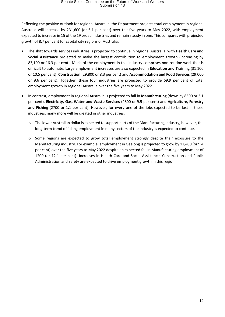Reflecting the positive outlook for regional Australia, the Department projects total employment in regional Australia will increase by 231,600 (or 6.1 per cent) over the five years to May 2022, with employment expected to increase in 15 of the 19 broad industries and remain steady in one. This compares with projected growth of 8.7 per cent for capital city regions of Australia.

- The shift towards services industries is projected to continue in regional Australia, with **Health Care and Social Assistance** projected to make the largest contribution to employment growth (increasing by 83,100 or 16.3 per cent). Much of the employment in this industry comprises non-routine work that is difficult to automate. Large employment increases are also expected in **Education and Training** (31,100 or 10.5 per cent), **Construction** (29,800 or 8.3 per cent) and **Accommodation and Food Services** (29,000 or 9.6 per cent). Together, these four industries are projected to provide 69.9 per cent of total employment growth in regional Australia over the five years to May 2022.
- In contrast, employment in regional Australia is projected to fall in **Manufacturing** (down by 8500 or 3.1 per cent), **Electricity, Gas, Water and Waste Services** (4800 or 9.5 per cent) and **Agriculture, Forestry and Fishing** (2700 or 1.1 per cent). However, for every one of the jobs expected to be lost in these industries, many more will be created in other industries.
	- o The lower Australian dollar is expected to support parts of the Manufacturing industry, however, the long-term trend of falling employment in many sectors of the industry is expected to continue.
	- $\circ$  Some regions are expected to grow total employment strongly despite their exposure to the Manufacturing industry. For example, employment in Geelong is projected to grow by 12,400 (or 9.4 per cent) over the five years to May 2022 despite an expected fall in Manufacturing employment of 1200 (or 12.1 per cent). Increases in Health Care and Social Assistance, Construction and Public Administration and Safety are expected to drive employment growth in this region.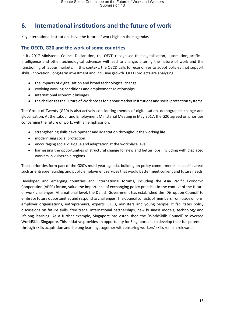# <span id="page-16-0"></span>**6. International institutions and the future of work**

Key international institutions have the future of work high on their agendas.

#### <span id="page-16-1"></span>**The OECD, G20 and the work of some countries**

In its 2017 Ministerial Council Declaration, the OECD recognised that digitalisation, automation, artificial intelligence and other technological advances will lead to change, altering the nature of work and the functioning of labour markets. In this context, the OECD calls for economies to adopt policies that support skills, innovation, long-term investment and inclusive growth. OECD projects are analysing:

- the impacts of digitalisation and broad technological change
- evolving working conditions and employment relationships
- international economic linkages
- the challenges the Future of Work poses for labour market institutions and social protection systems.

The Group of Twenty (G20) is also actively considering themes of digitalisation, demographic change and globalisation. At the Labour and Employment Ministerial Meeting in May 2017, the G20 agreed on priorities concerning the future of work, with an emphasis on:

- strengthening skills development and adaptation throughout the working life
- modernising social protection
- encouraging social dialogue and adaptation at the workplace level
- harnessing the opportunities of structural change for new and better jobs, including with displaced workers in vulnerable regions.

These priorities form part of the G20's multi-year agenda, building on policy commitments in specific areas such as entrepreneurship and public employment services that would better meet current and future needs.

Developed and emerging countries and international forums, including the Asia Pacific Economic Cooperation (APEC) forum, value the importance of exchanging policy practices in the context of the future of work challenges. At a national level, the Danish Government has established the 'Disruption Council' to embrace future opportunities and respond to challenges. The Council consists of members from trade unions, employer organisations, entrepreneurs, experts, CEOs, ministers and young people. It facilitates policy discussions on future skills, free trade, international partnerships, new business models, technology and lifelong learning. As a further example, Singapore has established the 'WorldSkills Council' to oversee WorldSkills Singapore. This initiative provides an opportunity for Singaporeans to develop their full potential through skills acquisition and lifelong learning, together with ensuring workers' skills remain relevant.